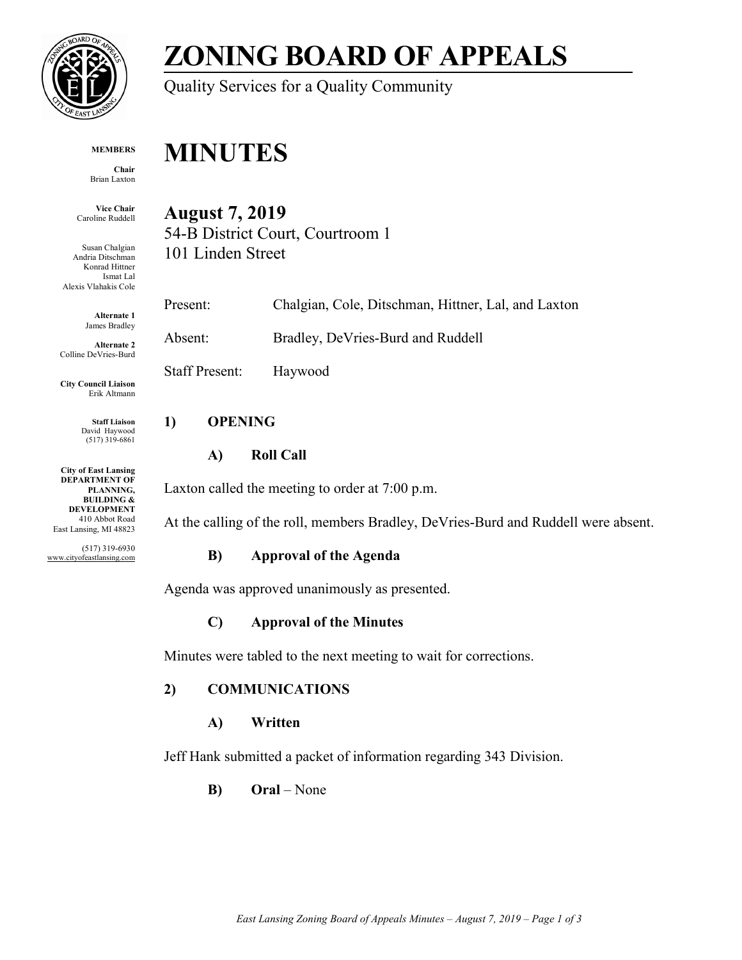

# **ZONING BOARD OF APPEALS**

Quality Services for a Quality Community

#### **MEMBERS**

**Chair** Brian Laxton

**Vice Chair** Caroline Ruddell

Susan Chalgian Andria Ditschman Konrad Hittner Ismat Lal Alexis Vlahakis Cole

> **Alternate 1** James Bradley

**Alternate 2** Colline DeVries-Burd

**City Council Liaison** Erik Altmann

> **Staff Liaison** David Haywood (517) 319-6861

**City of East Lansing DEPARTMENT OF PLANNING, BUILDING & DEVELOPMENT** 410 Abbot Road East Lansing, MI 48823

(517) 319-6930 www.cityofeastlansing.com

## **MINUTES**

**August 7, 2019**

54-B District Court, Courtroom 1 101 Linden Street

Present: Chalgian, Cole, Ditschman, Hittner, Lal, and Laxton Absent: Bradley, DeVries-Burd and Ruddell

Staff Present: Haywood

### **1) OPENING**

#### **A) Roll Call**

Laxton called the meeting to order at 7:00 p.m.

At the calling of the roll, members Bradley, DeVries-Burd and Ruddell were absent.

#### **B) Approval of the Agenda**

Agenda was approved unanimously as presented.

#### **C) Approval of the Minutes**

Minutes were tabled to the next meeting to wait for corrections.

#### **2) COMMUNICATIONS**

#### **A) Written**

Jeff Hank submitted a packet of information regarding 343 Division.

**B) Oral** – None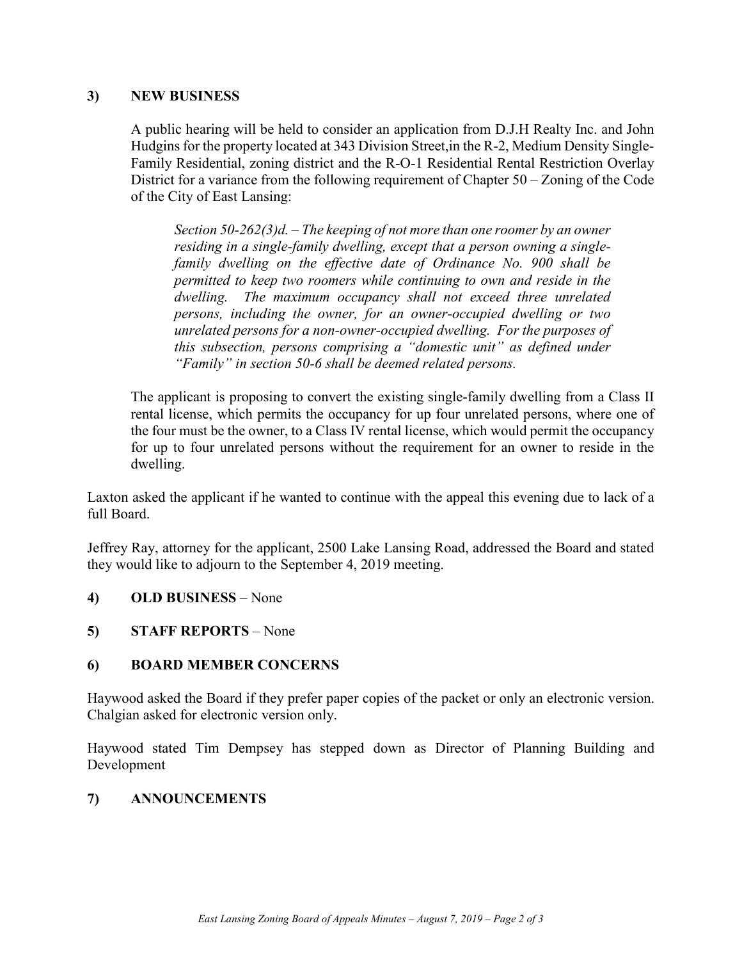#### **3) NEW BUSINESS**

A public hearing will be held to consider an application from D.J.H Realty Inc. and John Hudgins for the property located at 343 Division Street,in the R-2, Medium Density Single-Family Residential, zoning district and the R-O-1 Residential Rental Restriction Overlay District for a variance from the following requirement of Chapter 50 – Zoning of the Code of the City of East Lansing:

*Section 50-262(3)d. – The keeping of not more than one roomer by an owner residing in a single-family dwelling, except that a person owning a singlefamily dwelling on the effective date of Ordinance No. 900 shall be permitted to keep two roomers while continuing to own and reside in the dwelling. The maximum occupancy shall not exceed three unrelated persons, including the owner, for an owner-occupied dwelling or two unrelated persons for a non-owner-occupied dwelling. For the purposes of this subsection, persons comprising a "domestic unit" as defined under "Family" in section 50-6 shall be deemed related persons.*

The applicant is proposing to convert the existing single-family dwelling from a Class II rental license, which permits the occupancy for up four unrelated persons, where one of the four must be the owner, to a Class IV rental license, which would permit the occupancy for up to four unrelated persons without the requirement for an owner to reside in the dwelling.

Laxton asked the applicant if he wanted to continue with the appeal this evening due to lack of a full Board.

Jeffrey Ray, attorney for the applicant, 2500 Lake Lansing Road, addressed the Board and stated they would like to adjourn to the September 4, 2019 meeting.

- **4) OLD BUSINESS** None
- **5) STAFF REPORTS** None

#### **6) BOARD MEMBER CONCERNS**

Haywood asked the Board if they prefer paper copies of the packet or only an electronic version. Chalgian asked for electronic version only.

Haywood stated Tim Dempsey has stepped down as Director of Planning Building and Development

#### **7) ANNOUNCEMENTS**